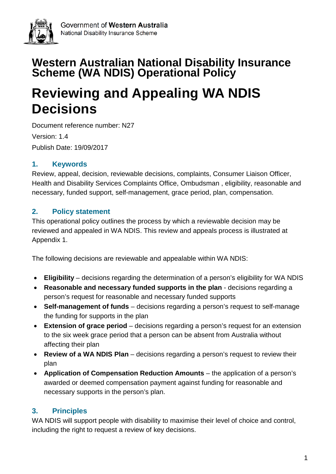

# **Western Australian National Disability Insurance Scheme (WA NDIS) Operational Policy**

# **Reviewing and Appealing WA NDIS Decisions**

Document reference number: N27 Version: 1.4 Publish Date: 19/09/2017

# **1. Keywords**

Review, appeal, decision, reviewable decisions, complaints, Consumer Liaison Officer, Health and Disability Services Complaints Office, Ombudsman , eligibility, reasonable and necessary, funded support, self-management, grace period, plan, compensation.

# **2. Policy statement**

This operational policy outlines the process by which a reviewable decision may be reviewed and appealed in WA NDIS. This review and appeals process is illustrated at Appendix 1.

The following decisions are reviewable and appealable within WA NDIS:

- **Eligibility** decisions regarding the determination of a person's eligibility for WA NDIS
- **Reasonable and necessary funded supports in the plan**  decisions regarding a person's request for reasonable and necessary funded supports
- **Self-management of funds** decisions regarding a person's request to self-manage the funding for supports in the plan
- **Extension of grace period**  decisions regarding a person's request for an extension to the six week grace period that a person can be absent from Australia without affecting their plan
- **Review of a WA NDIS Plan** decisions regarding a person's request to review their plan
- **Application of Compensation Reduction Amounts** the application of a person's awarded or deemed compensation payment against funding for reasonable and necessary supports in the person's plan.

# **3. Principles**

WA NDIS will support people with disability to maximise their level of choice and control, including the right to request a review of key decisions.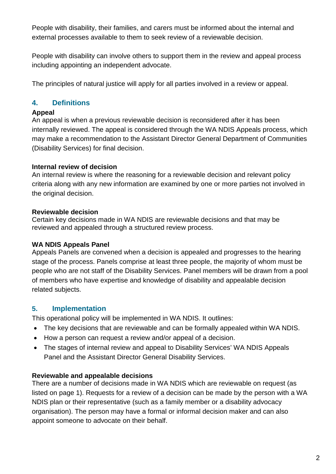People with disability, their families, and carers must be informed about the internal and external processes available to them to seek review of a reviewable decision.

People with disability can involve others to support them in the review and appeal process including appointing an independent advocate.

The principles of natural justice will apply for all parties involved in a review or appeal.

# **4. Definitions**

#### **Appeal**

An appeal is when a previous reviewable decision is reconsidered after it has been internally reviewed. The appeal is considered through the WA NDIS Appeals process, which may make a recommendation to the Assistant Director General Department of Communities (Disability Services) for final decision.

#### **Internal review of decision**

An internal review is where the reasoning for a reviewable decision and relevant policy criteria along with any new information are examined by one or more parties not involved in the original decision.

#### **Reviewable decision**

Certain key decisions made in WA NDIS are reviewable decisions and that may be reviewed and appealed through a structured review process.

### **WA NDIS Appeals Panel**

Appeals Panels are convened when a decision is appealed and progresses to the hearing stage of the process. Panels comprise at least three people, the majority of whom must be people who are not staff of the Disability Services. Panel members will be drawn from a pool of members who have expertise and knowledge of disability and appealable decision related subjects.

### **5. Implementation**

This operational policy will be implemented in WA NDIS. It outlines:

- The key decisions that are reviewable and can be formally appealed within WA NDIS.
- How a person can request a review and/or appeal of a decision.
- The stages of internal review and appeal to Disability Services' WA NDIS Appeals Panel and the Assistant Director General Disability Services.

#### **Reviewable and appealable decisions**

There are a number of decisions made in WA NDIS which are reviewable on request (as listed on page 1). Requests for a review of a decision can be made by the person with a WA NDIS plan or their representative (such as a family member or a disability advocacy organisation). The person may have a formal or informal decision maker and can also appoint someone to advocate on their behalf.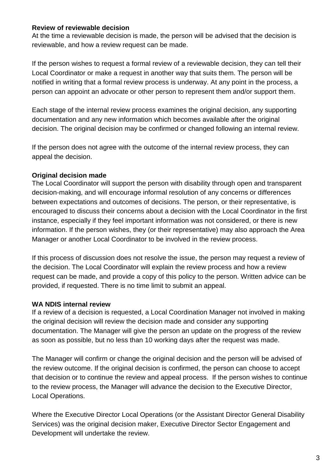#### **Review of reviewable decision**

At the time a reviewable decision is made, the person will be advised that the decision is reviewable, and how a review request can be made.

If the person wishes to request a formal review of a reviewable decision, they can tell their Local Coordinator or make a request in another way that suits them. The person will be notified in writing that a formal review process is underway. At any point in the process, a person can appoint an advocate or other person to represent them and/or support them.

Each stage of the internal review process examines the original decision, any supporting documentation and any new information which becomes available after the original decision. The original decision may be confirmed or changed following an internal review.

If the person does not agree with the outcome of the internal review process, they can appeal the decision.

#### **Original decision made**

The Local Coordinator will support the person with disability through open and transparent decision-making, and will encourage informal resolution of any concerns or differences between expectations and outcomes of decisions. The person, or their representative, is encouraged to discuss their concerns about a decision with the Local Coordinator in the first instance, especially if they feel important information was not considered, or there is new information. If the person wishes, they (or their representative) may also approach the Area Manager or another Local Coordinator to be involved in the review process.

If this process of discussion does not resolve the issue, the person may request a review of the decision. The Local Coordinator will explain the review process and how a review request can be made, and provide a copy of this policy to the person. Written advice can be provided, if requested. There is no time limit to submit an appeal.

#### **WA NDIS internal review**

If a review of a decision is requested, a Local Coordination Manager not involved in making the original decision will review the decision made and consider any supporting documentation. The Manager will give the person an update on the progress of the review as soon as possible, but no less than 10 working days after the request was made.

The Manager will confirm or change the original decision and the person will be advised of the review outcome. If the original decision is confirmed, the person can choose to accept that decision or to continue the review and appeal process. If the person wishes to continue to the review process, the Manager will advance the decision to the Executive Director, Local Operations.

Where the Executive Director Local Operations (or the Assistant Director General Disability Services) was the original decision maker, Executive Director Sector Engagement and Development will undertake the review.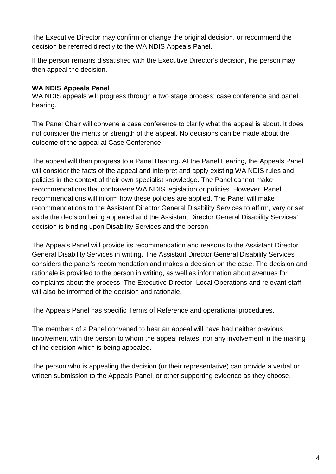The Executive Director may confirm or change the original decision, or recommend the decision be referred directly to the WA NDIS Appeals Panel.

If the person remains dissatisfied with the Executive Director's decision, the person may then appeal the decision.

#### **WA NDIS Appeals Panel**

WA NDIS appeals will progress through a two stage process: case conference and panel hearing.

The Panel Chair will convene a case conference to clarify what the appeal is about. It does not consider the merits or strength of the appeal. No decisions can be made about the outcome of the appeal at Case Conference.

The appeal will then progress to a Panel Hearing. At the Panel Hearing, the Appeals Panel will consider the facts of the appeal and interpret and apply existing WA NDIS rules and policies in the context of their own specialist knowledge. The Panel cannot make recommendations that contravene WA NDIS legislation or policies. However, Panel recommendations will inform how these policies are applied. The Panel will make recommendations to the Assistant Director General Disability Services to affirm, vary or set aside the decision being appealed and the Assistant Director General Disability Services' decision is binding upon Disability Services and the person.

The Appeals Panel will provide its recommendation and reasons to the Assistant Director General Disability Services in writing. The Assistant Director General Disability Services considers the panel's recommendation and makes a decision on the case. The decision and rationale is provided to the person in writing, as well as information about avenues for complaints about the process. The Executive Director, Local Operations and relevant staff will also be informed of the decision and rationale.

The Appeals Panel has specific Terms of Reference and operational procedures.

The members of a Panel convened to hear an appeal will have had neither previous involvement with the person to whom the appeal relates, nor any involvement in the making of the decision which is being appealed.

The person who is appealing the decision (or their representative) can provide a verbal or written submission to the Appeals Panel, or other supporting evidence as they choose.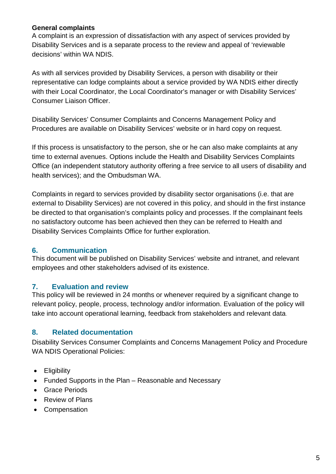#### **General complaints**

A complaint is an expression of dissatisfaction with any aspect of services provided by Disability Services and is a separate process to the review and appeal of 'reviewable decisions' within WA NDIS.

As with all services provided by Disability Services, a person with disability or their representative can lodge complaints about a service provided by WA NDIS either directly with their Local Coordinator, the Local Coordinator's manager or with Disability Services' Consumer Liaison Officer.

Disability Services' Consumer Complaints and Concerns Management Policy and Procedures are available on Disability Services' website or in hard copy on request.

If this process is unsatisfactory to the person, she or he can also make complaints at any time to external avenues. Options include the Health and Disability Services Complaints Office (an independent statutory authority offering a free service to all users of disability and health services); and the Ombudsman WA.

Complaints in regard to services provided by disability sector organisations (i.e. that are external to Disability Services) are not covered in this policy, and should in the first instance be directed to that organisation's complaints policy and processes. If the complainant feels no satisfactory outcome has been achieved then they can be referred to Health and Disability Services Complaints Office for further exploration.

#### **6. Communication**

This document will be published on Disability Services' website and intranet, and relevant employees and other stakeholders advised of its existence.

### **7. Evaluation and review**

This policy will be reviewed in 24 months or whenever required by a significant change to relevant policy, people, process, technology and/or information. Evaluation of the policy will take into account operational learning, feedback from stakeholders and relevant data.

### **8. Related documentation**

Disability Services Consumer Complaints and Concerns Management Policy and Procedure WA NDIS Operational Policies:

- Eligibility
- Funded Supports in the Plan Reasonable and Necessary
- Grace Periods
- Review of Plans
- Compensation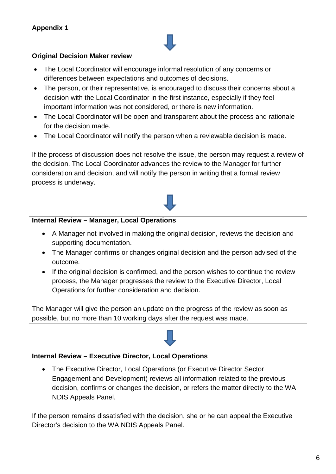#### **Original Decision Maker review**

- The Local Coordinator will encourage informal resolution of any concerns or differences between expectations and outcomes of decisions.
- The person, or their representative, is encouraged to discuss their concerns about a decision with the Local Coordinator in the first instance, especially if they feel important information was not considered, or there is new information.
- The Local Coordinator will be open and transparent about the process and rationale for the decision made.
- The Local Coordinator will notify the person when a reviewable decision is made.

If the process of discussion does not resolve the issue, the person may request a review of the decision. The Local Coordinator advances the review to the Manager for further consideration and decision, and will notify the person in writing that a formal review process is underway.



#### **Internal Review – Manager, Local Operations**

- A Manager not involved in making the original decision, reviews the decision and supporting documentation.
- The Manager confirms or changes original decision and the person advised of the outcome.
- If the original decision is confirmed, and the person wishes to continue the review process, the Manager progresses the review to the Executive Director, Local Operations for further consideration and decision.

The Manager will give the person an update on the progress of the review as soon as possible, but no more than 10 working days after the request was made.



#### **Internal Review – Executive Director, Local Operations**

• The Executive Director, Local Operations (or Executive Director Sector Engagement and Development) reviews all information related to the previous decision, confirms or changes the decision, or refers the matter directly to the WA NDIS Appeals Panel.

If the person remains dissatisfied with the decision, she or he can appeal the Executive Director's decision to the WA NDIS Appeals Panel.